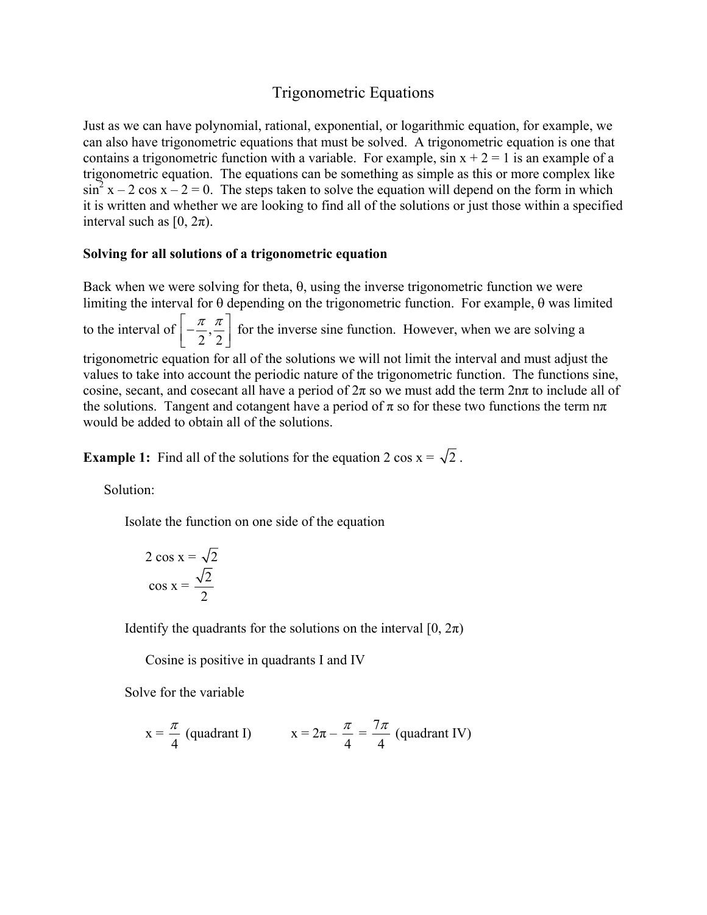# Trigonometric Equations

Just as we can have polynomial, rational, exponential, or logarithmic equation, for example, we can also have trigonometric equations that must be solved. A trigonometric equation is one that contains a trigonometric function with a variable. For example,  $\sin x + 2 = 1$  is an example of a trigonometric equation. The equations can be something as simple as this or more complex like  $\sin^2 x - 2 \cos x - 2 = 0$ . The steps taken to solve the equation will depend on the form in which it is written and whether we are looking to find all of the solutions or just those within a specified interval such as  $[0, 2\pi)$ .

## **Solving for all solutions of a trigonometric equation**

Back when we were solving for theta,  $\theta$ , using the inverse trigonometric function we were limiting the interval for θ depending on the trigonometric function. For example, θ was limited

to the interval of  $\left[-\frac{\pi}{2}\right]$ ,  $\left[-\frac{\pi}{2},\frac{\pi}{2}\right]$ for the inverse sine function. However, when we are solving a trigonometric equation for all of the solutions we will not limit the interval and must adjust the values to take into account the periodic nature of the trigonometric function. The functions sine, cosine, secant, and cosecant all have a period of  $2\pi$  so we must add the term  $2n\pi$  to include all of the solutions. Tangent and cotangent have a period of  $\pi$  so for these two functions the term  $n\pi$ would be added to obtain all of the solutions.

**Example 1:** Find all of the solutions for the equation 2 cos  $x = \sqrt{2}$ .

Solution:

Isolate the function on one side of the equation

$$
2 \cos x = \sqrt{2}
$$

$$
\cos x = \frac{\sqrt{2}}{2}
$$

Identify the quadrants for the solutions on the interval  $[0, 2\pi)$ 

Cosine is positive in quadrants I and IV

Solve for the variable

$$
x = \frac{\pi}{4}
$$
 (quadrant I)  $x = 2\pi - \frac{\pi}{4} = \frac{7\pi}{4}$  (quadrant IV)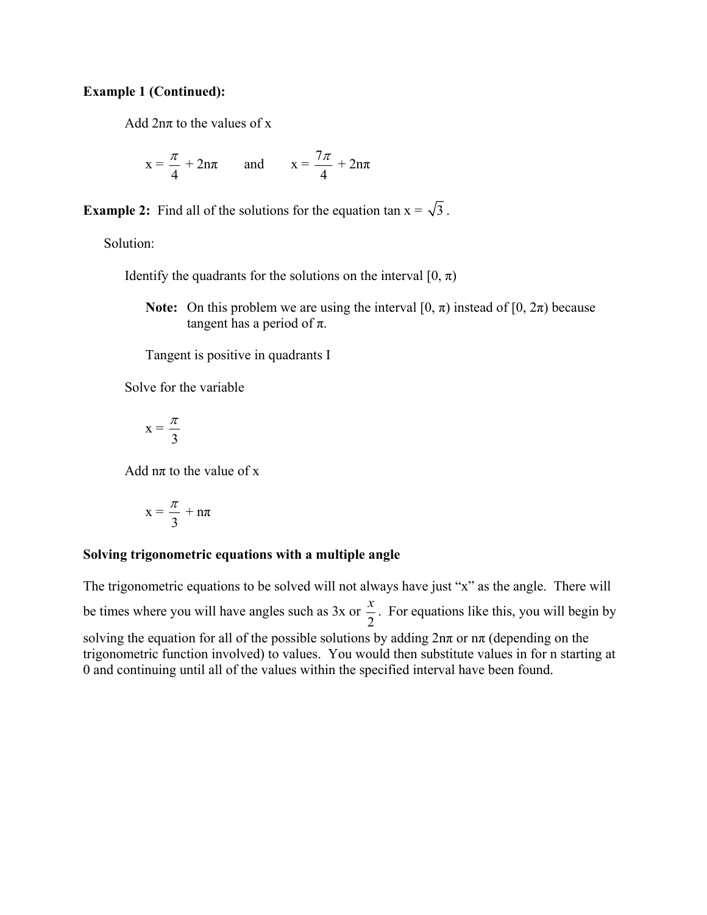#### **Example 1 (Continued):**

Add  $2n\pi$  to the values of x

$$
x = \frac{\pi}{4} + 2n\pi \quad \text{and} \quad x = \frac{7\pi}{4} + 2n\pi
$$

**Example 2:** Find all of the solutions for the equation tan  $x = \sqrt{3}$ .

Solution:

Identify the quadrants for the solutions on the interval  $[0, \pi)$ 

**Note:** On this problem we are using the interval  $[0, \pi)$  instead of  $[0, 2\pi)$  because tangent has a period of  $\pi$ .

Tangent is positive in quadrants I

Solve for the variable

$$
x = \frac{\pi}{3}
$$

Add  $n\pi$  to the value of x

$$
x=\frac{\pi}{3}+n\pi
$$

#### **Solving trigonometric equations with a multiple angle**

The trigonometric equations to be solved will not always have just "x" as the angle. There will be times where you will have angles such as  $3x$  or  $\frac{x}{2}$ . For equations like this, you will begin by solving the equation for all of the possible solutions by adding  $2n\pi$  or  $n\pi$  (depending on the trigonometric function involved) to values. You would then substitute values in for n starting at 0 and continuing until all of the values within the specified interval have been found.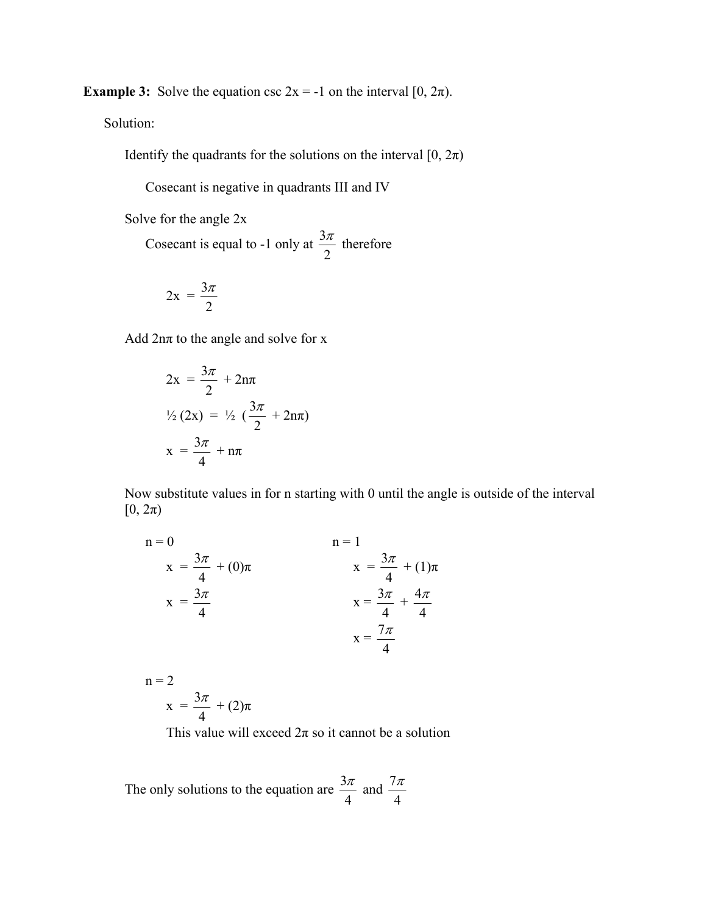**Example 3:** Solve the equation csc  $2x = -1$  on the interval  $[0, 2\pi)$ .

Solution:

Identify the quadrants for the solutions on the interval  $[0, 2\pi)$ 

Cosecant is negative in quadrants III and IV

Solve for the angle 2x

Cosecant is equal to -1 only at  $\frac{3}{2}$ 2  $\frac{\pi}{2}$  therefore

$$
2x = \frac{3\pi}{2}
$$

Add  $2n\pi$  to the angle and solve for x

$$
2x = \frac{3\pi}{2} + 2n\pi
$$
  

$$
\frac{1}{2}(2x) = \frac{1}{2}(\frac{3\pi}{2} + 2n\pi)
$$
  

$$
x = \frac{3\pi}{4} + n\pi
$$

 Now substitute values in for n starting with 0 until the angle is outside of the interval  $[0, 2\pi)$ 

$$
n = 0
$$
  
\n
$$
x = \frac{3\pi}{4} + (0)\pi
$$
  
\n
$$
x = \frac{3\pi}{4}
$$
  
\n
$$
x = \frac{3\pi}{4} + (1)\pi
$$
  
\n
$$
x = \frac{3\pi}{4} + \frac{4\pi}{4}
$$
  
\n
$$
x = \frac{7\pi}{4}
$$

 $n = 2$  $x = \frac{3}{5}$ 4  $\frac{\pi}{\tau}$  + (2) $\pi$ 

This value will exceed  $2\pi$  so it cannot be a solution

The only solutions to the equation are  $\frac{3}{2}$ 4  $\frac{\pi}{4}$  and  $\frac{7}{4}$ 4 π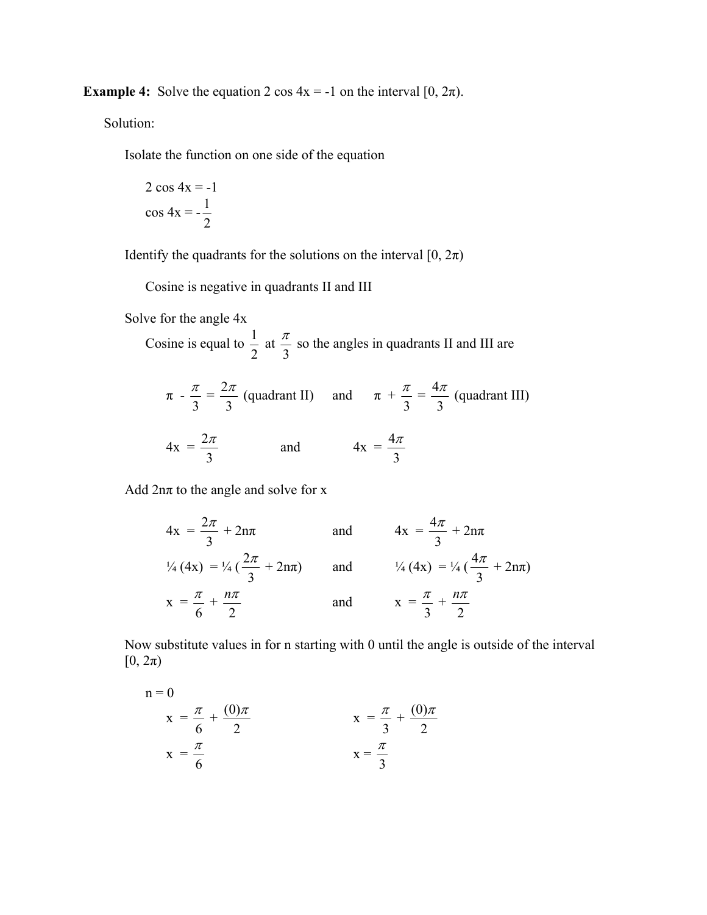**Example 4:** Solve the equation 2 cos  $4x = -1$  on the interval  $[0, 2\pi)$ .

Solution:

Isolate the function on one side of the equation

$$
2 \cos 4x = -1
$$

$$
\cos 4x = -\frac{1}{2}
$$

Identify the quadrants for the solutions on the interval  $[0, 2\pi)$ 

Cosine is negative in quadrants II and III

Solve for the angle 4x

Cosine is equal to  $\frac{1}{2}$ 2 at 3  $\frac{\pi}{2}$  so the angles in quadrants II and III are

$$
\pi - \frac{\pi}{3} = \frac{2\pi}{3}
$$
 (quadrant II) and  $\pi + \frac{\pi}{3} = \frac{4\pi}{3}$  (quadrant III)  
 $4x = \frac{2\pi}{3}$  and  $4x = \frac{4\pi}{3}$ 

Add  $2n\pi$  to the angle and solve for x

$$
4x = \frac{2\pi}{3} + 2n\pi \qquad \text{and} \qquad 4x = \frac{4\pi}{3} + 2n\pi
$$
  

$$
\frac{1}{4}(4x) = \frac{1}{4}(\frac{2\pi}{3} + 2n\pi) \qquad \text{and} \qquad \frac{1}{4}(4x) = \frac{1}{4}(\frac{4\pi}{3} + 2n\pi)
$$
  

$$
x = \frac{\pi}{6} + \frac{n\pi}{2} \qquad \text{and} \qquad x = \frac{\pi}{3} + \frac{n\pi}{2}
$$

 Now substitute values in for n starting with 0 until the angle is outside of the interval  $[0, 2\pi)$ 

n = 0  
\n
$$
x = \frac{\pi}{6} + \frac{(0)\pi}{2}
$$
  
\n $x = \frac{\pi}{6}$   
\n $x = \frac{\pi}{3}$   
\n $x = \frac{\pi}{3}$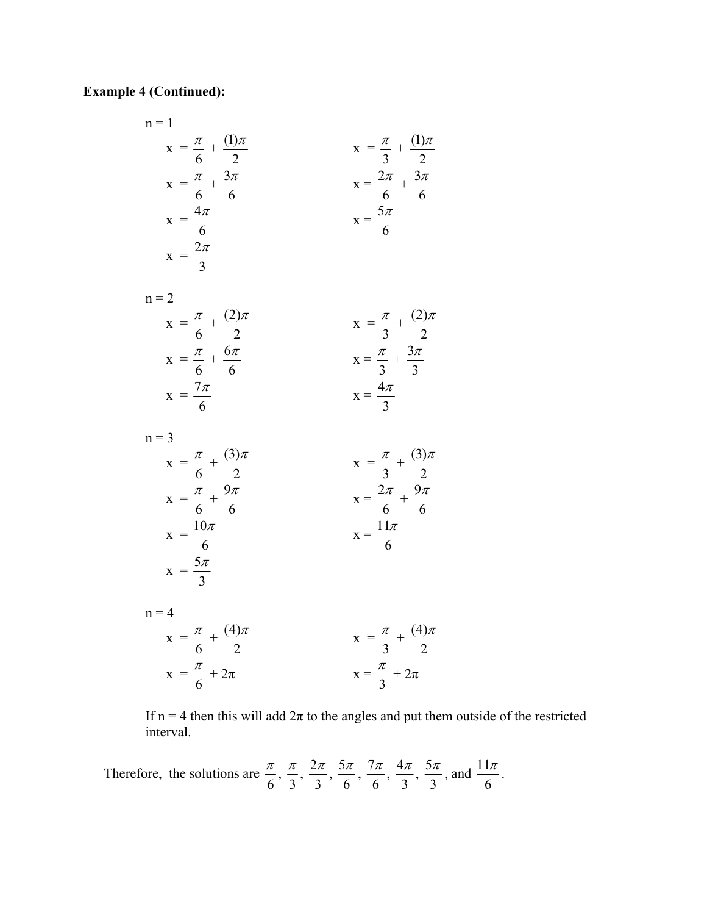## **Example 4 (Continued):**

n = 1  
\n
$$
x = \frac{\pi}{6} + \frac{(1)\pi}{2}
$$
  
\n $x = \frac{\pi}{6} + \frac{3\pi}{6}$   
\n $x = \frac{4\pi}{6}$   
\n $x = \frac{2\pi}{6}$   
\n $x = \frac{2\pi}{6}$   
\n $x = \frac{2\pi}{6}$   
\n $x = \frac{5\pi}{6}$   
\n $x = \frac{\pi}{6} + \frac{(2)\pi}{2}$   
\n $x = \frac{\pi}{6} + \frac{6\pi}{6}$   
\n $x = \frac{7\pi}{6}$   
\n $x = \frac{7\pi}{6}$   
\n $x = \frac{7\pi}{6}$   
\n $x = \frac{7\pi}{6}$   
\n $x = \frac{7\pi}{6}$   
\n $x = \frac{7\pi}{6}$   
\n $x = \frac{7\pi}{6}$   
\n $x = \frac{7\pi}{6}$   
\n $x = \frac{7\pi}{6}$   
\n $x = \frac{7\pi}{6}$   
\n $x = \frac{7\pi}{6}$   
\n $x = \frac{7\pi}{6}$   
\n $x = \frac{7\pi}{6}$   
\n $x = \frac{7\pi}{6}$   
\n $x = \frac{7\pi}{6}$   
\n $x = \frac{7\pi}{6}$   
\n $x = \frac{7\pi}{6}$   
\n $x = \frac{11\pi}{6}$ 

6

3  $\frac{\pi}{\pi}$ 

6

 $\frac{\pi}{4} + \frac{(4)}{4}$ 

2 π

 $x = \frac{5}{4}$ 

 $x =$ 

 $x =$ 

 $n = 4$ 

6 3 If n = 4 then this will add  $2\pi$  to the angles and put them outside of the restricted interval.

 $x =$ 3

 $\frac{\pi}{2} + \frac{(4)}{2}$ 

 $\frac{\pi}{2}+2\pi$ 

2 π

Therefore, the solutions are  $\frac{\pi}{6}$ ,  $\frac{\pi}{3}$ ,  $\frac{2}{3}$ 3  $\frac{\pi}{\pi}$ ,  $\frac{5}{\pi}$ 6  $\frac{\pi}{\pi}$ ,  $\frac{7}{\pi}$ 6  $\frac{\pi}{\pi}$ ,  $\frac{4}{\pi}$ 3  $\frac{\pi}{2}$ ,  $\frac{5}{4}$ 3  $\frac{\pi}{2}$ , and  $\frac{11}{4}$ 6  $\frac{\pi}{\pi}$  .

 $\frac{\pi}{6} + 2\pi$  x =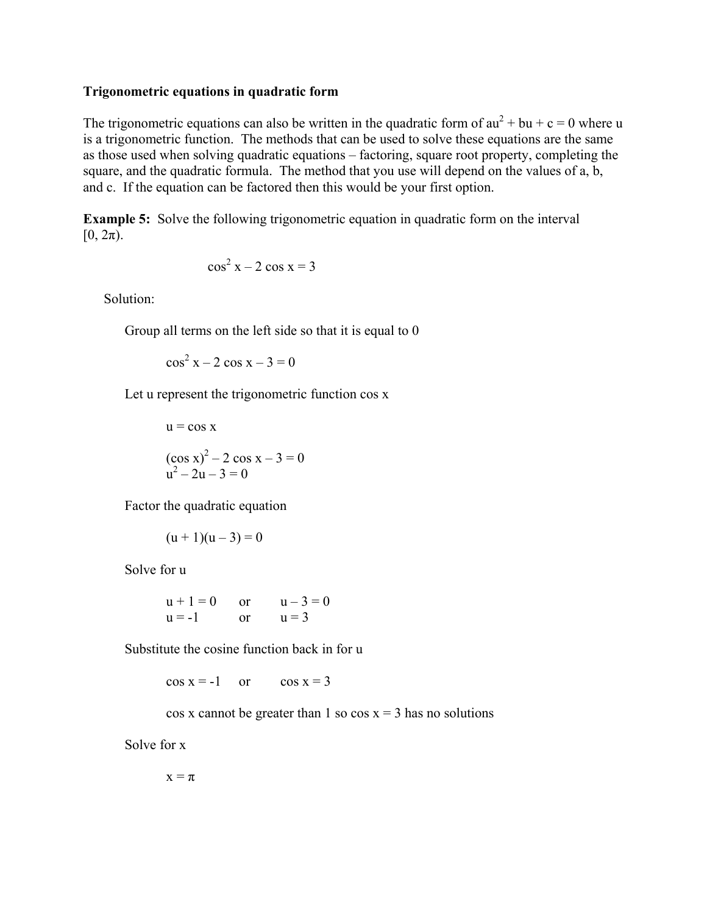#### **Trigonometric equations in quadratic form**

The trigonometric equations can also be written in the quadratic form of  $au^2 + bu + c = 0$  where u is a trigonometric function. The methods that can be used to solve these equations are the same as those used when solving quadratic equations – factoring, square root property, completing the square, and the quadratic formula. The method that you use will depend on the values of a, b, and c. If the equation can be factored then this would be your first option.

**Example 5:** Solve the following trigonometric equation in quadratic form on the interval  $[0, 2\pi)$ .

$$
\cos^2 x - 2 \cos x = 3
$$

Solution:

Group all terms on the left side so that it is equal to 0

 $\cos^2 x - 2 \cos x - 3 = 0$ 

Let u represent the trigonometric function cos x

$$
u = \cos x
$$
  

$$
(\cos x)^2 - 2 \cos x - 3 = 0
$$
  

$$
u^2 - 2u - 3 = 0
$$

Factor the quadratic equation

$$
(u+1)(u-3) = 0
$$

Solve for u

$$
u + 1 = 0
$$
 or  $u - 3 = 0$   
u = -1 or  $u = 3$ 

Substitute the cosine function back in for u

 $\cos x = -1$  or  $\cos x = 3$ 

 $\cos x$  cannot be greater than 1 so  $\cos x = 3$  has no solutions

Solve for x

 $x = \pi$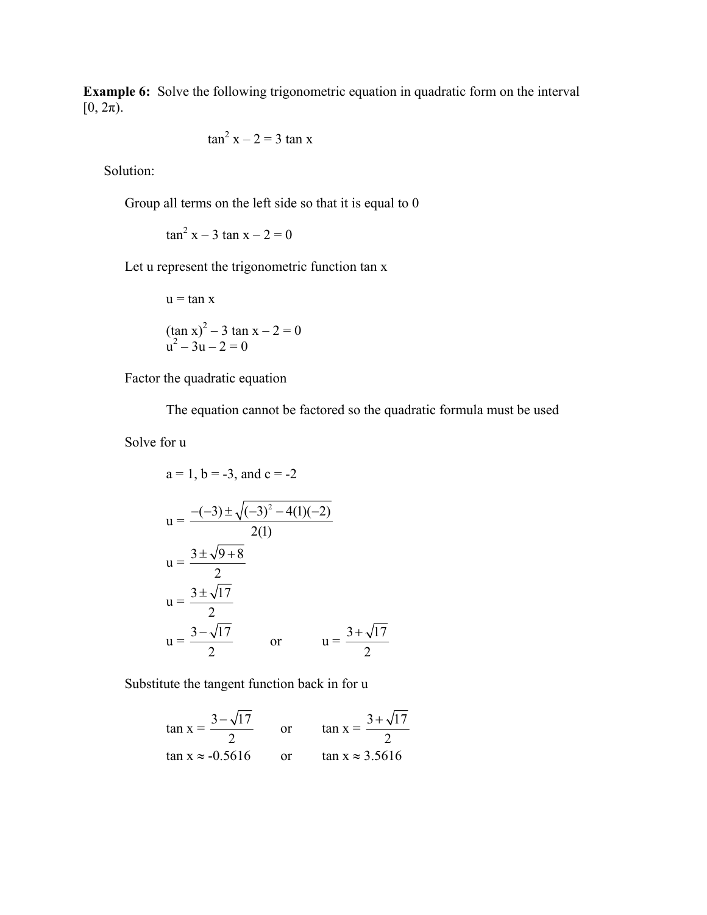**Example 6:** Solve the following trigonometric equation in quadratic form on the interval  $[0, 2\pi)$ .

$$
\tan^2 x - 2 = 3 \tan x
$$

Solution:

Group all terms on the left side so that it is equal to 0

 $\tan^2 x - 3 \tan x - 2 = 0$ 

Let u represent the trigonometric function tan x

$$
u = \tan x
$$
  
(tan x)<sup>2</sup> - 3 tan x - 2 = 0  

$$
u2 - 3u - 2 = 0
$$

Factor the quadratic equation

The equation cannot be factored so the quadratic formula must be used

Solve for u

a = 1, b = -3, and c = -2  
\n
$$
u = \frac{-(-3) \pm \sqrt{(-3)^2 - 4(1)(-2)}}{2(1)}
$$
\n
$$
u = \frac{3 \pm \sqrt{9 + 8}}{2}
$$
\n
$$
u = \frac{3 \pm \sqrt{17}}{2}
$$
\n
$$
u = \frac{3 - \sqrt{17}}{2}
$$
\nor\n
$$
u = \frac{3 + \sqrt{17}}{2}
$$

Substitute the tangent function back in for u

$$
\tan x = \frac{3 - \sqrt{17}}{2} \qquad \text{or} \qquad \tan x = \frac{3 + \sqrt{17}}{2}
$$
  

$$
\tan x \approx -0.5616 \qquad \text{or} \qquad \tan x \approx 3.5616
$$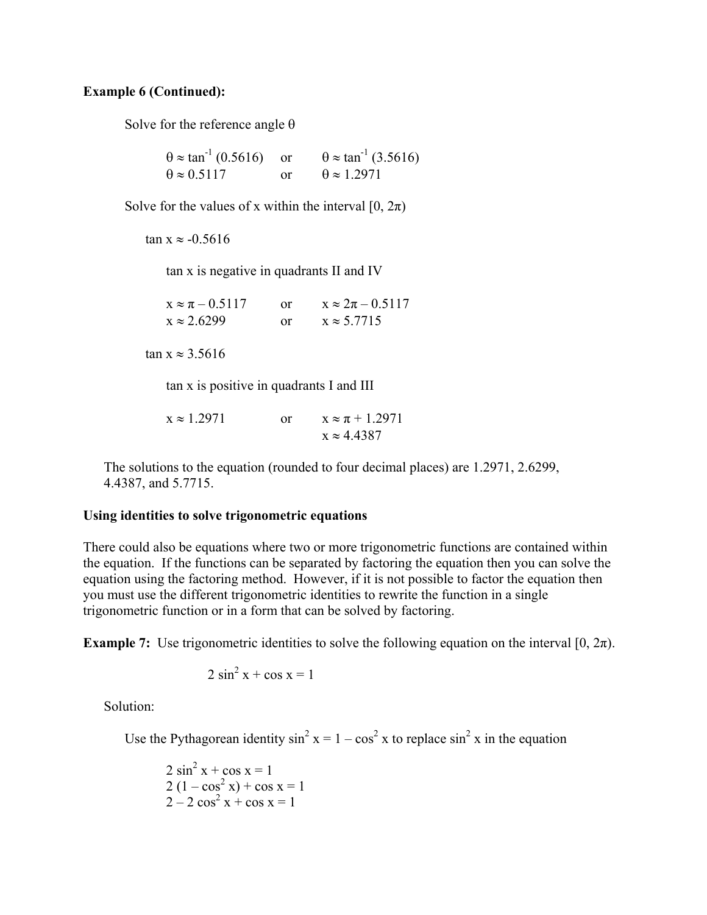#### **Example 6 (Continued):**

Solve for the reference angle  $\theta$ 

 $\theta \approx \tan^{-1}(0.5616)$  or  $\theta \approx \tan^{-1}(3.5616)$  $\theta \approx 0.5117$  or  $\theta \approx 1.2971$ 

Solve for the values of x within the interval  $[0, 2\pi)$ 

 $\tan x \approx -0.5616$ 

tan x is negative in quadrants II and IV

 $x \approx \pi - 0.5117$  or  $x \approx 2\pi - 0.5117$  $x \approx 2.6299$  or  $x \approx 5.7715$ 

tan  $x \approx 3.5616$ 

tan x is positive in quadrants I and III

 $x \approx 1.2971$  or  $x \approx \pi + 1.2971$  $x \approx 4.4387$ 

 The solutions to the equation (rounded to four decimal places) are 1.2971, 2.6299, 4.4387, and 5.7715.

#### **Using identities to solve trigonometric equations**

There could also be equations where two or more trigonometric functions are contained within the equation. If the functions can be separated by factoring the equation then you can solve the equation using the factoring method. However, if it is not possible to factor the equation then you must use the different trigonometric identities to rewrite the function in a single trigonometric function or in a form that can be solved by factoring.

**Example 7:** Use trigonometric identities to solve the following equation on the interval  $[0, 2\pi)$ .

$$
2\sin^2 x + \cos x = 1
$$

Solution:

Use the Pythagorean identity  $\sin^2 x = 1 - \cos^2 x$  to replace  $\sin^2 x$  in the equation

 $2 \sin^2 x + \cos x = 1$  $2(1 - \cos^2 x) + \cos x = 1$  $2 - 2 \cos^2 x + \cos x = 1$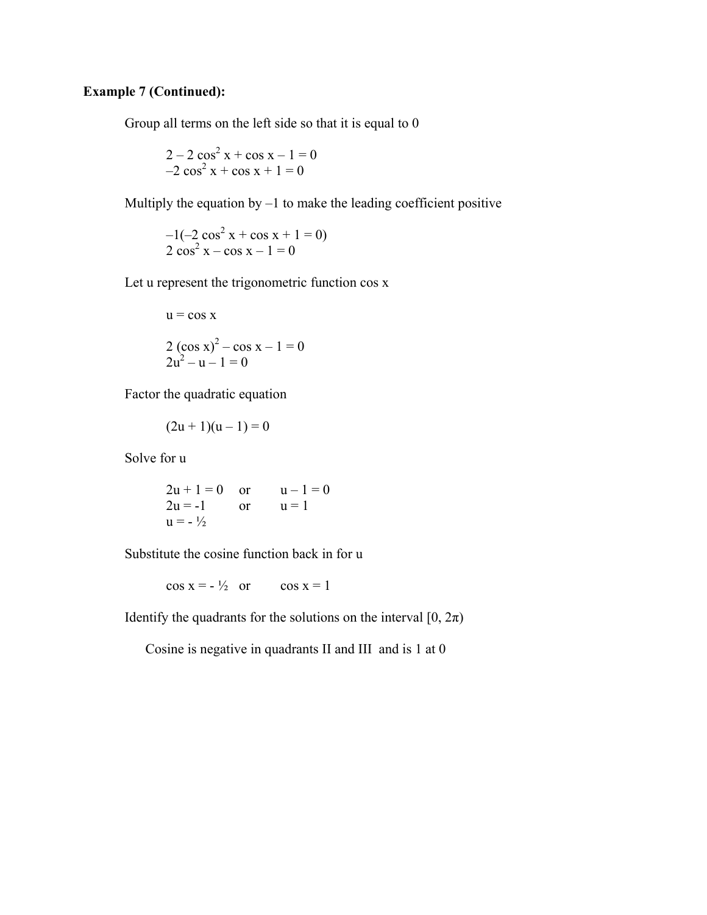## **Example 7 (Continued):**

Group all terms on the left side so that it is equal to 0

$$
2 - 2\cos^2 x + \cos x - 1 = 0
$$
  
-2 cos<sup>2</sup> x + cos x + 1 = 0

Multiply the equation by  $-1$  to make the leading coefficient positive

 $-1(-2 \cos^2 x + \cos x + 1 = 0)$  $2 \cos^2 x - \cos x - 1 = 0$ 

Let u represent the trigonometric function cos x

$$
u = \cos x
$$
  
2  $(\cos x)^2 - \cos x - 1 = 0$   
2u<sup>2</sup> - u - 1 = 0

Factor the quadratic equation

$$
(2u + 1)(u - 1) = 0
$$

Solve for u

$$
2u + 1 = 0 \text{ or } u - 1 = 0
$$
  
2u = -1 or u = 1  
u = -<sup>1</sup>/<sub>2</sub>

Substitute the cosine function back in for u

 $\cos x = -\frac{1}{2}$  or  $\cos x = 1$ 

Identify the quadrants for the solutions on the interval  $[0, 2\pi)$ 

Cosine is negative in quadrants II and III and is 1 at 0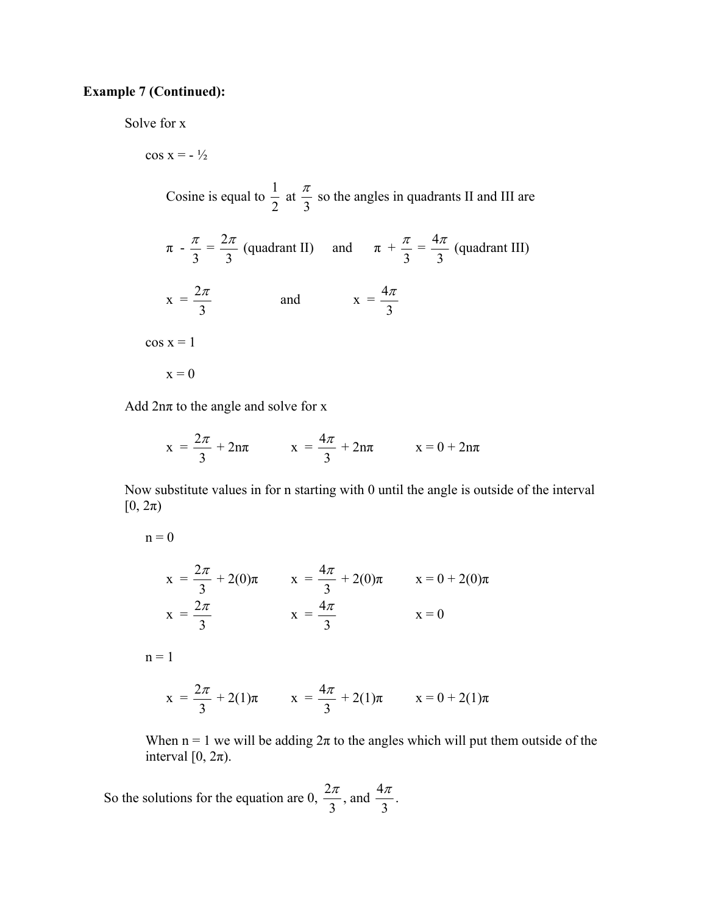#### **Example 7 (Continued):**

Solve for x

 $\cos x = -\frac{1}{2}$ Cosine is equal to  $\frac{1}{2}$ 2 at 3  $\frac{\pi}{2}$  so the angles in quadrants II and III are  $\pi - \frac{\pi}{3} = \frac{2}{3}$ 3  $\frac{\pi}{2}$  (quadrant II) and  $\pi$  + 3  $\frac{\pi}{2} = \frac{4}{4}$ 3  $\frac{\pi}{2}$  (quadrant III)  $x = \frac{2}{3}$ 3  $rac{\pi}{2}$  and  $x = \frac{4}{3}$ 3 π  $\cos x = 1$  $x = 0$ 

Add  $2n\pi$  to the angle and solve for x

$$
x = \frac{2\pi}{3} + 2n\pi \qquad x = \frac{4\pi}{3} + 2n\pi \qquad x = 0 + 2n\pi
$$

 Now substitute values in for n starting with 0 until the angle is outside of the interval  $[0, 2\pi)$ 

$$
x = \frac{2\pi}{3} + 2(0)\pi \qquad x = \frac{4\pi}{3} + 2(0)\pi \qquad x = 0 + 2(0)\pi
$$
  

$$
x = \frac{2\pi}{3} \qquad x = \frac{4\pi}{3} \qquad x = 0
$$

 $n = 1$ 

 $n = 0$ 

$$
x = \frac{2\pi}{3} + 2(1)\pi \qquad x = \frac{4\pi}{3} + 2(1)\pi \qquad x = 0 + 2(1)\pi
$$

When  $n = 1$  we will be adding  $2\pi$  to the angles which will put them outside of the interval  $[0, 2\pi)$ .

So the solutions for the equation are  $0, \frac{2}{3}$ 3  $\frac{\pi}{2}$ , and  $\frac{4}{4}$ 3  $\frac{\pi}{\pi}$ .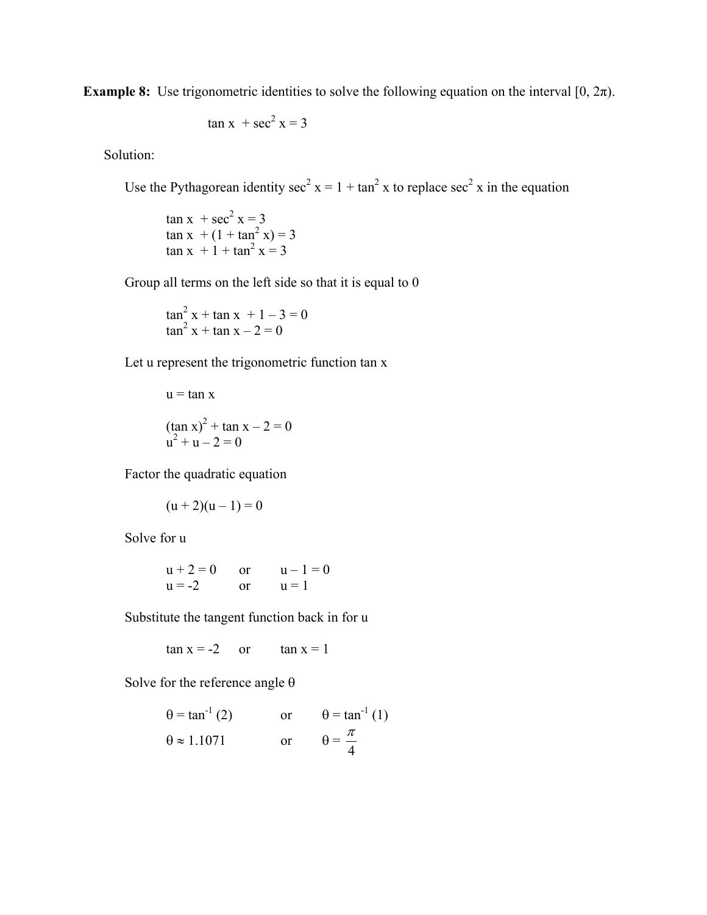**Example 8:** Use trigonometric identities to solve the following equation on the interval  $[0, 2\pi)$ .

$$
\tan x + \sec^2 x = 3
$$

Solution:

Use the Pythagorean identity sec<sup>2</sup>  $x = 1 + \tan^2 x$  to replace sec<sup>2</sup> x in the equation

 $\tan x + 1 + \tan^2 x = 3$  $\tan x + \sec^2 x = 3$  $\tan x + (1 + \tan^2 x) = 3$ 

Group all terms on the left side so that it is equal to 0

$$
\tan^2 x + \tan x + 1 - 3 = 0
$$
  

$$
\tan^2 x + \tan x - 2 = 0
$$

Let u represent the trigonometric function tan x

u = tan x  
\n
$$
(\tan x)^2 + \tan x - 2 = 0
$$
  
\nu<sup>2</sup> + u - 2 = 0

Factor the quadratic equation

$$
(u+2)(u-1) = 0
$$

Solve for u

$$
u + 2 = 0
$$
 or  $u - 1 = 0$   
  $u = -2$  or  $u = 1$ 

Substitute the tangent function back in for u

 $\tan x = -2$  or  $\tan x = 1$ 

Solve for the reference angle  $\theta$ 

$$
\theta = \tan^{-1}(2)
$$
 or  $\theta = \tan^{-1}(1)$   
\n $\theta \approx 1.1071$  or  $\theta = \frac{\pi}{4}$